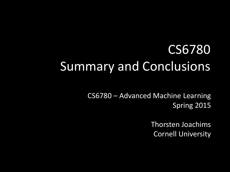#### CS6780 Summary and Conclusions

CS6780 – Advanced Machine Learning Spring 2015

> Thorsten Joachims Cornell University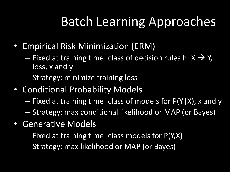## Batch Learning Approaches

- Empirical Risk Minimization (ERM)
	- $-$  Fixed at training time: class of decision rules h:  $X \rightarrow Y$ , loss, x and y
	- Strategy: minimize training loss
- Conditional Probability Models
	- Fixed at training time: class of models for P(Y|X), x and y
	- Strategy: max conditional likelihood or MAP (or Bayes)
- Generative Models
	- Fixed at training time: class models for P(Y,X)
	- Strategy: max likelihood or MAP (or Bayes)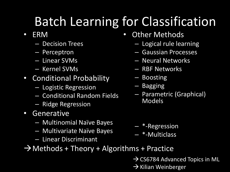## Batch Learning for Classification

- ERM
	- Decision Trees
	- Perceptron
	- Linear SVMs
	- Kernel SVMs
- Conditional Probability
	- Logistic Regression
	- Conditional Random Fields
	- Ridge Regression
- Generative
	- Multinomial Naïve Bayes
	- Multivariate Naïve Bayes
	- Linear Discriminant
- Other Methods
	- Logical rule learning
	- Gaussian Processes
	- Neural Networks
	- RBF Networks
	- Boosting
	- Bagging
	- Parametric (Graphical) Models

- \*-Regression
- \*-Multiclass
- $\rightarrow$  Methods + Theory + Algorithms + Practice
	- $\rightarrow$  CS6784 Advanced Topics in ML
	- $\rightarrow$  Kilian Weinberger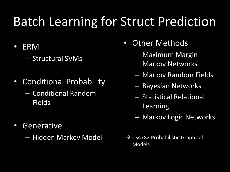#### Batch Learning for Struct Prediction

- ERM
	- Structural SVMs
- Conditional Probability
	- Conditional Random Fields
- Generative
	- Hidden Markov Model
- Other Methods
	- Maximum Margin Markov Networks
	- Markov Random Fields
	- Bayesian Networks
	- Statistical Relational Learning
	- Markov Logic Networks
- $\rightarrow$  CS4782 Probabilistic Graphical Models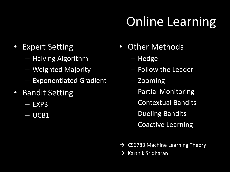# Online Learning

- Expert Setting
	- Halving Algorithm
	- Weighted Majority
	- Exponentiated Gradient
- Bandit Setting
	- $-$  EXP3
	- UCB1
- Other Methods
	- Hedge
	- Follow the Leader
	- Zooming
	- Partial Monitoring
	- Contextual Bandits
	- Dueling Bandits
	- Coactive Learning
- $\rightarrow$  CS6783 Machine Learning Theory
- $\rightarrow$  Karthik Sridharan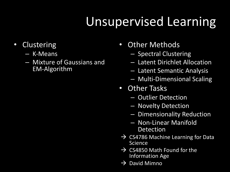## Unsupervised Learning

- Clustering
	- K-Means
	- Mixture of Gaussians and EM-Algorithm
- Other Methods
	- Spectral Clustering
	- Latent Dirichlet Allocation
	- Latent Semantic Analysis
	- Multi-Dimensional Scaling
- Other Tasks
	- Outlier Detection
	- Novelty Detection
	- Dimensionality Reduction
	- Non-Linear Manifold Detection
- $\rightarrow$  CS4786 Machine Learning for Data Science
- $\rightarrow$  CS4850 Math Found for the Information Age
- $\rightarrow$  David Mimno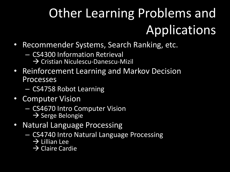# Other Learning Problems and Applications

- Recommender Systems, Search Ranking, etc.
	- CS4300 Information Retrieval
		- $\rightarrow$  Cristian Niculescu-Danescu-Mizil
- Reinforcement Learning and Markov Decision Processes
	- CS4758 Robot Learning
- Computer Vision
	- CS4670 Intro Computer Vision
		- $\rightarrow$  Serge Belongie
- Natural Language Processing
	- CS4740 Intro Natural Language Processing
		- $\rightarrow$  Lillian Lee
		- $\rightarrow$  Claire Cardie